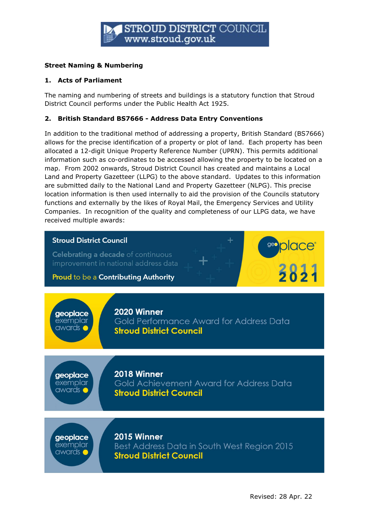

# Street Naming & Numbering

#### 1. Acts of Parliament

The naming and numbering of streets and buildings is a statutory function that Stroud District Council performs under the Public Health Act 1925.

#### 2. British Standard BS7666 - Address Data Entry Conventions

In addition to the traditional method of addressing a property, British Standard (BS7666) allows for the precise identification of a property or plot of land. Each property has been allocated a 12-digit Unique Property Reference Number (UPRN). This permits additional information such as co-ordinates to be accessed allowing the property to be located on a map. From 2002 onwards, Stroud District Council has created and maintains a Local Land and Property Gazetteer (LLPG) to the above standard. Updates to this information are submitted daily to the National Land and Property Gazetteer (NLPG). This precise location information is then used internally to aid the provision of the Councils statutory functions and externally by the likes of Royal Mail, the Emergency Services and Utility Companies. In recognition of the quality and completeness of our LLPG data, we have received multiple awards:

### **Stroud District Council**

Celebrating a decade of continuous improvement in national address data

Proud to be a Contributing Authority

geoplace exemplar awards (

2020 Winner

Gold Performance Award for Address Data **Stroud District Council** 

geoplace exemplar awards

2018 Winner Gold Achievement Award for Address Data **Stroud District Council** 

geoplace exemplar awards C

2015 Winner

Best Address Data in South West Region 2015 **Stroud District Council** 

**place®** 

3831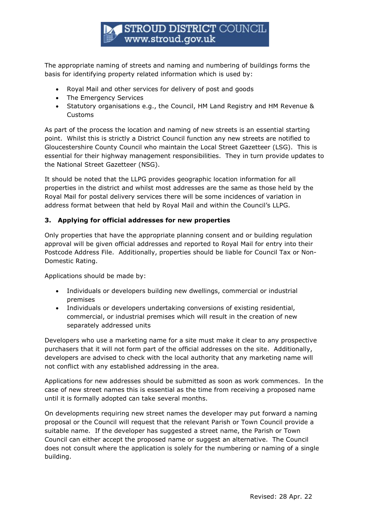The appropriate naming of streets and naming and numbering of buildings forms the basis for identifying property related information which is used by:

- Royal Mail and other services for delivery of post and goods
- The Emergency Services
- Statutory organisations e.g., the Council, HM Land Registry and HM Revenue & Customs

As part of the process the location and naming of new streets is an essential starting point. Whilst this is strictly a District Council function any new streets are notified to Gloucestershire County Council who maintain the Local Street Gazetteer (LSG). This is essential for their highway management responsibilities. They in turn provide updates to the National Street Gazetteer (NSG).

It should be noted that the LLPG provides geographic location information for all properties in the district and whilst most addresses are the same as those held by the Royal Mail for postal delivery services there will be some incidences of variation in address format between that held by Royal Mail and within the Council's LLPG.

# 3. Applying for official addresses for new properties

Only properties that have the appropriate planning consent and or building regulation approval will be given official addresses and reported to Royal Mail for entry into their Postcode Address File. Additionally, properties should be liable for Council Tax or Non-Domestic Rating.

Applications should be made by:

- Individuals or developers building new dwellings, commercial or industrial premises
- Individuals or developers undertaking conversions of existing residential, commercial, or industrial premises which will result in the creation of new separately addressed units

Developers who use a marketing name for a site must make it clear to any prospective purchasers that it will not form part of the official addresses on the site. Additionally, developers are advised to check with the local authority that any marketing name will not conflict with any established addressing in the area.

Applications for new addresses should be submitted as soon as work commences. In the case of new street names this is essential as the time from receiving a proposed name until it is formally adopted can take several months.

On developments requiring new street names the developer may put forward a naming proposal or the Council will request that the relevant Parish or Town Council provide a suitable name. If the developer has suggested a street name, the Parish or Town Council can either accept the proposed name or suggest an alternative. The Council does not consult where the application is solely for the numbering or naming of a single building.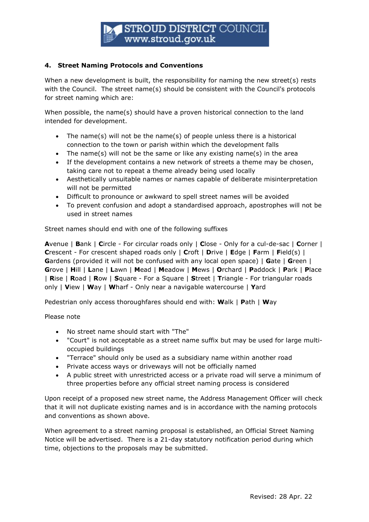# **STROUD DISTRICT COUNCIL** www.stroud.gov.uk

#### 4. Street Naming Protocols and Conventions

When a new development is built, the responsibility for naming the new street(s) rests with the Council. The street name(s) should be consistent with the Council's protocols for street naming which are:

When possible, the name(s) should have a proven historical connection to the land intended for development.

- The name(s) will not be the name(s) of people unless there is a historical connection to the town or parish within which the development falls
- The name(s) will not be the same or like any existing name(s) in the area
- If the development contains a new network of streets a theme may be chosen, taking care not to repeat a theme already being used locally
- Aesthetically unsuitable names or names capable of deliberate misinterpretation will not be permitted
- Difficult to pronounce or awkward to spell street names will be avoided
- To prevent confusion and adopt a standardised approach, apostrophes will not be used in street names

Street names should end with one of the following suffixes

Avenue | Bank | Circle - For circular roads only | Close - Only for a cul-de-sac | Corner | **Crescent - For crescent shaped roads only | Croft | Drive | Edge | Farm | Field(s) |** Gardens (provided it will not be confused with any local open space) | Gate | Green | Grove | Hill | Lane | Lawn | Mead | Meadow | Mews | Orchard | Paddock | Park | Place | Rise | Road | Row | Square - For a Square | Street | Triangle - For triangular roads only | View | Way | Wharf - Only near a navigable watercourse | Yard

Pedestrian only access thoroughfares should end with: Walk | Path | Way

Please note

- No street name should start with "The"
- "Court" is not acceptable as a street name suffix but may be used for large multioccupied buildings
- "Terrace" should only be used as a subsidiary name within another road
- Private access ways or driveways will not be officially named
- A public street with unrestricted access or a private road will serve a minimum of three properties before any official street naming process is considered

Upon receipt of a proposed new street name, the Address Management Officer will check that it will not duplicate existing names and is in accordance with the naming protocols and conventions as shown above.

When agreement to a street naming proposal is established, an Official Street Naming Notice will be advertised. There is a 21-day statutory notification period during which time, objections to the proposals may be submitted.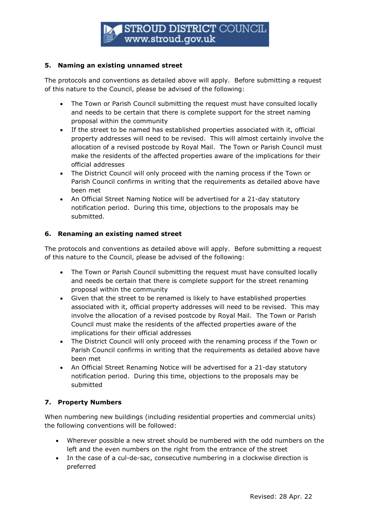### 5. Naming an existing unnamed street

The protocols and conventions as detailed above will apply. Before submitting a request of this nature to the Council, please be advised of the following:

- The Town or Parish Council submitting the request must have consulted locally and needs to be certain that there is complete support for the street naming proposal within the community
- If the street to be named has established properties associated with it, official property addresses will need to be revised. This will almost certainly involve the allocation of a revised postcode by Royal Mail. The Town or Parish Council must make the residents of the affected properties aware of the implications for their official addresses
- The District Council will only proceed with the naming process if the Town or Parish Council confirms in writing that the requirements as detailed above have been met
- An Official Street Naming Notice will be advertised for a 21-day statutory notification period. During this time, objections to the proposals may be submitted.

# 6. Renaming an existing named street

The protocols and conventions as detailed above will apply. Before submitting a request of this nature to the Council, please be advised of the following:

- The Town or Parish Council submitting the request must have consulted locally and needs be certain that there is complete support for the street renaming proposal within the community
- Given that the street to be renamed is likely to have established properties associated with it, official property addresses will need to be revised. This may involve the allocation of a revised postcode by Royal Mail. The Town or Parish Council must make the residents of the affected properties aware of the implications for their official addresses
- The District Council will only proceed with the renaming process if the Town or Parish Council confirms in writing that the requirements as detailed above have been met
- An Official Street Renaming Notice will be advertised for a 21-day statutory notification period. During this time, objections to the proposals may be submitted

# 7. Property Numbers

When numbering new buildings (including residential properties and commercial units) the following conventions will be followed:

- Wherever possible a new street should be numbered with the odd numbers on the left and the even numbers on the right from the entrance of the street
- In the case of a cul-de-sac, consecutive numbering in a clockwise direction is preferred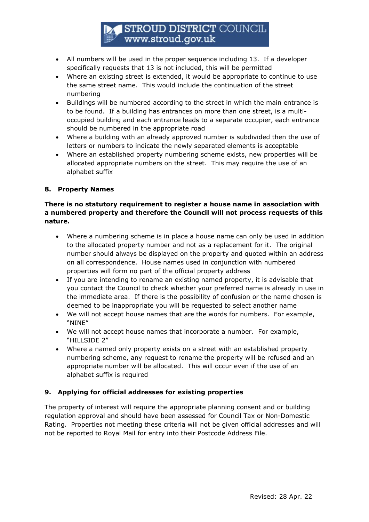# **STROUD DISTRICT COUNCIL** www.stroud.gov.uk

- All numbers will be used in the proper sequence including 13. If a developer specifically requests that 13 is not included, this will be permitted
- Where an existing street is extended, it would be appropriate to continue to use the same street name. This would include the continuation of the street numbering
- Buildings will be numbered according to the street in which the main entrance is to be found. If a building has entrances on more than one street, is a multioccupied building and each entrance leads to a separate occupier, each entrance should be numbered in the appropriate road
- Where a building with an already approved number is subdivided then the use of letters or numbers to indicate the newly separated elements is acceptable
- Where an established property numbering scheme exists, new properties will be allocated appropriate numbers on the street. This may require the use of an alphabet suffix

# 8. Property Names

# There is no statutory requirement to register a house name in association with a numbered property and therefore the Council will not process requests of this nature.

- Where a numbering scheme is in place a house name can only be used in addition to the allocated property number and not as a replacement for it. The original number should always be displayed on the property and quoted within an address on all correspondence. House names used in conjunction with numbered properties will form no part of the official property address
- If you are intending to rename an existing named property, it is advisable that you contact the Council to check whether your preferred name is already in use in the immediate area. If there is the possibility of confusion or the name chosen is deemed to be inappropriate you will be requested to select another name
- We will not accept house names that are the words for numbers. For example, "NINE"
- We will not accept house names that incorporate a number. For example, "HILLSIDE 2"
- Where a named only property exists on a street with an established property numbering scheme, any request to rename the property will be refused and an appropriate number will be allocated. This will occur even if the use of an alphabet suffix is required

# 9. Applying for official addresses for existing properties

The property of interest will require the appropriate planning consent and or building regulation approval and should have been assessed for Council Tax or Non-Domestic Rating. Properties not meeting these criteria will not be given official addresses and will not be reported to Royal Mail for entry into their Postcode Address File.